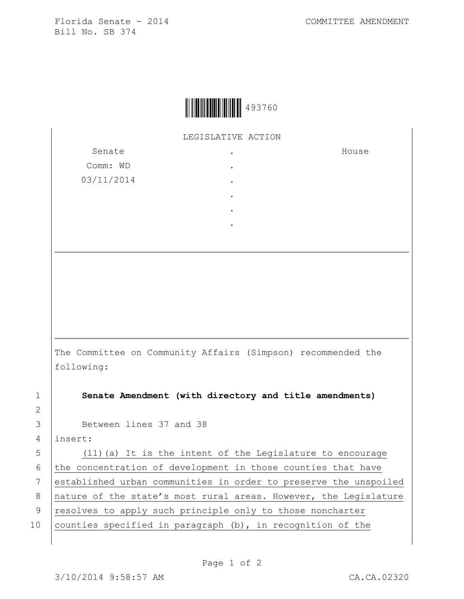Florida Senate - 2014 COMMITTEE AMENDMENT Bill No. SB 374

|  | 493760 |
|--|--------|
|--|--------|

LEGISLATIVE ACTION

. . . . . .

Senate Comm: WD 03/11/2014 House

The Committee on Community Affairs (Simpson) recommended the following:

1 **Senate Amendment (with directory and title amendments)**

3 Between lines 37 and 38

4 insert:

2

5 (11)(a) It is the intent of the Legislature to encourage 6 the concentration of development in those counties that have 7 established urban communities in order to preserve the unspoiled 8 | nature of the state's most rural areas. However, the Legislature 9 | resolves to apply such principle only to those noncharter 10 counties specified in paragraph (b), in recognition of the